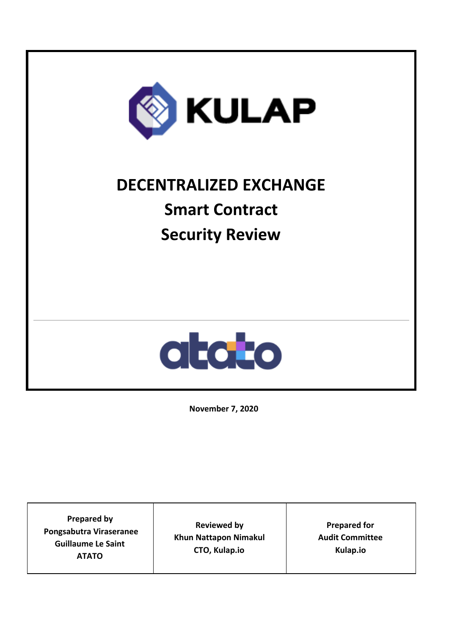

# **DECENTRALIZED EXCHANGE Smart Contract Security Review**



**November 7, 2020**

**Prepared by Pongsabutra Viraseranee Guillaume Le Saint ATATO Reviewed by Khun Nattapon Nimakul CTO, Kulap.io Prepared for Audit Committee Kulap.io**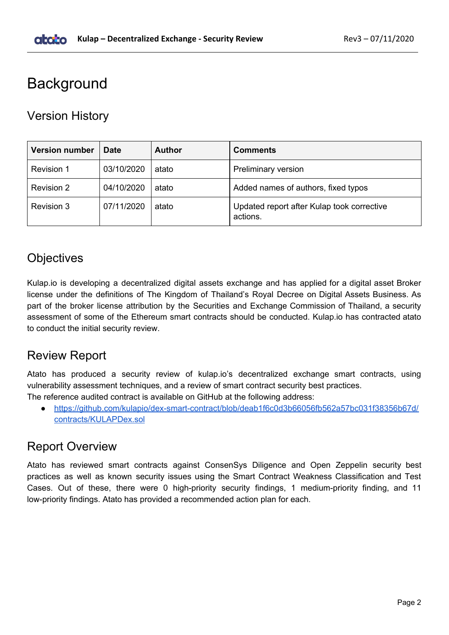## <span id="page-1-0"></span>**Background**

## <span id="page-1-1"></span>Version History

| <b>Version number</b> | <b>Date</b> | <b>Author</b> | <b>Comments</b>                                        |
|-----------------------|-------------|---------------|--------------------------------------------------------|
| Revision 1            | 03/10/2020  | atato         | <b>Preliminary version</b>                             |
| <b>Revision 2</b>     | 04/10/2020  | atato         | Added names of authors, fixed typos                    |
| Revision 3            | 07/11/2020  | atato         | Updated report after Kulap took corrective<br>actions. |

## <span id="page-1-2"></span>**Objectives**

Kulap.io is developing a decentralized digital assets exchange and has applied for a digital asset Broker license under the definitions of The Kingdom of Thailand's Royal Decree on Digital Assets Business. As part of the broker license attribution by the Securities and Exchange Commission of Thailand, a security assessment of some of the Ethereum smart contracts should be conducted. Kulap.io has contracted atato to conduct the initial security review.

## <span id="page-1-3"></span>Review Report

Atato has produced a security review of kulap.io's decentralized exchange smart contracts, using vulnerability assessment techniques, and a review of smart contract security best practices.

- The reference audited contract is available on GitHub at the following address:
	- [https://github.com/kulapio/dex-smart-contract/blob/deab1f6c0d3b66056fb562a57bc031f38356b67d/](https://github.com/kulapio/dex-smart-contract/blob/deab1f6c0d3b66056fb562a57bc031f38356b67d/contracts/KULAPDex.sol) [contracts/KULAPDex.sol](https://github.com/kulapio/dex-smart-contract/blob/deab1f6c0d3b66056fb562a57bc031f38356b67d/contracts/KULAPDex.sol)

## <span id="page-1-4"></span>Report Overview

Atato has reviewed smart contracts against ConsenSys Diligence and Open Zeppelin security best practices as well as known security issues using the Smart Contract Weakness Classification and Test Cases. Out of these, there were 0 high-priority security findings, 1 medium-priority finding, and 11 low-priority findings. Atato has provided a recommended action plan for each.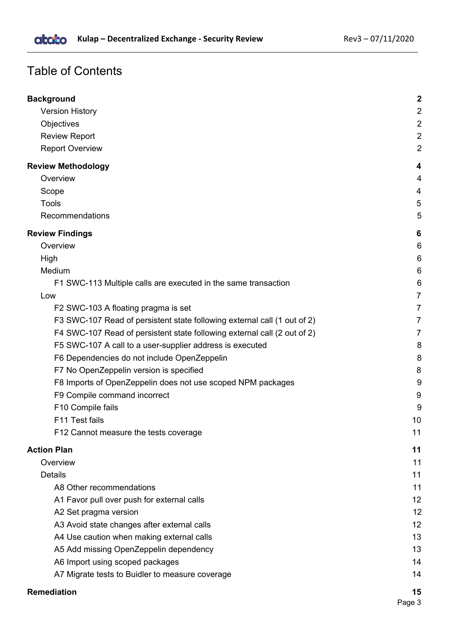## Table of Contents

| <b>Background</b>                                                        | $\mathbf 2$    |
|--------------------------------------------------------------------------|----------------|
| <b>Version History</b>                                                   | $\overline{2}$ |
| Objectives                                                               | $\overline{2}$ |
| <b>Review Report</b>                                                     | $\overline{2}$ |
| <b>Report Overview</b>                                                   | $\overline{2}$ |
| <b>Review Methodology</b>                                                | 4              |
| Overview                                                                 | 4              |
| Scope                                                                    | 4              |
| <b>Tools</b>                                                             | 5              |
| Recommendations                                                          | 5              |
| <b>Review Findings</b>                                                   | 6              |
| Overview                                                                 | 6              |
| High                                                                     | 6              |
| Medium                                                                   | 6              |
| F1 SWC-113 Multiple calls are executed in the same transaction           | 6              |
| Low                                                                      | 7              |
| F2 SWC-103 A floating pragma is set                                      | $\overline{7}$ |
| F3 SWC-107 Read of persistent state following external call (1 out of 2) | 7              |
| F4 SWC-107 Read of persistent state following external call (2 out of 2) | $\overline{7}$ |
| F5 SWC-107 A call to a user-supplier address is executed                 | 8              |
| F6 Dependencies do not include OpenZeppelin                              | 8              |
| F7 No OpenZeppelin version is specified                                  | 8              |
| F8 Imports of OpenZeppelin does not use scoped NPM packages              | 9              |
| F9 Compile command incorrect                                             | 9              |
| F10 Compile fails                                                        | 9              |
| F11 Test fails                                                           | 10             |
| F12 Cannot measure the tests coverage                                    | 11             |
| <b>Action Plan</b>                                                       | 11             |
| Overview                                                                 | 11             |
| <b>Details</b>                                                           | 11             |
| A8 Other recommendations                                                 | 11             |
| A1 Favor pull over push for external calls                               | 12             |
| A2 Set pragma version                                                    | 12             |
| A3 Avoid state changes after external calls                              | 12             |
| A4 Use caution when making external calls                                | 13             |
| A5 Add missing OpenZeppelin dependency                                   | 13             |
| A6 Import using scoped packages                                          | 14             |
| A7 Migrate tests to Buidler to measure coverage                          | 14             |
| <b>Remediation</b>                                                       | 15             |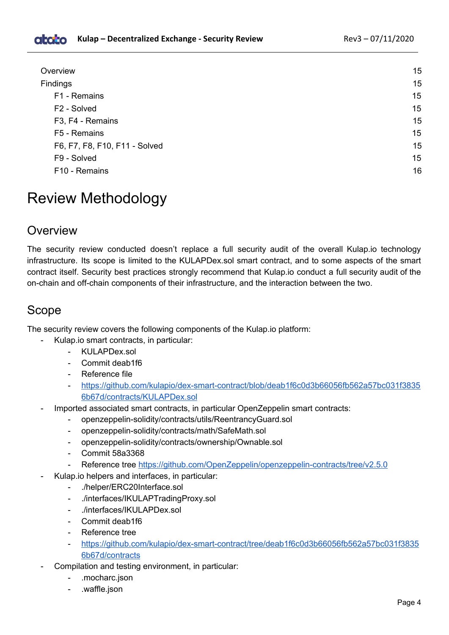| Overview                      | 15 |
|-------------------------------|----|
| <b>Findings</b>               | 15 |
| F1 - Remains                  | 15 |
| F <sub>2</sub> - Solved       | 15 |
| F3, F4 - Remains              | 15 |
| F5 - Remains                  | 15 |
| F6, F7, F8, F10, F11 - Solved | 15 |
| F9 - Solved                   | 15 |
| F10 - Remains                 | 16 |

## <span id="page-3-0"></span>Review Methodology

### <span id="page-3-1"></span>Overview

The security review conducted doesn't replace a full security audit of the overall Kulap.io technology infrastructure. Its scope is limited to the KULAPDex.sol smart contract, and to some aspects of the smart contract itself. Security best practices strongly recommend that Kulap.io conduct a full security audit of the on-chain and off-chain components of their infrastructure, and the interaction between the two.

## <span id="page-3-2"></span>Scope

The security review covers the following components of the Kulap.io platform:

- Kulap.io smart contracts, in particular:
	- KULAPDex.sol
	- Commit deab1f6
	- Reference file
	- [https://github.com/kulapio/dex-smart-contract/blob/deab1f6c0d3b66056fb562a57bc031f3835](https://github.com/kulapio/dex-smart-contract/blob/deab1f6c0d3b66056fb562a57bc031f38356b67d/contracts/KULAPDex.sol) [6b67d/contracts/KULAPDex.sol](https://github.com/kulapio/dex-smart-contract/blob/deab1f6c0d3b66056fb562a57bc031f38356b67d/contracts/KULAPDex.sol)
- Imported associated smart contracts, in particular OpenZeppelin smart contracts:
	- openzeppelin-solidity/contracts/utils/ReentrancyGuard.sol
	- openzeppelin-solidity/contracts/math/SafeMath.sol
	- openzeppelin-solidity/contracts/ownership/Ownable.sol
	- Commit 58a3368
	- Reference tree <https://github.com/OpenZeppelin/openzeppelin-contracts/tree/v2.5.0>
- Kulap.io helpers and interfaces, in particular:
	- ./helper/ERC20Interface.sol
	- ./interfaces/IKULAPTradingProxy.sol
	- ./interfaces/IKULAPDex.sol
	- Commit deab1f6
	- Reference tree
	- [https://github.com/kulapio/dex-smart-contract/tree/deab1f6c0d3b66056fb562a57bc031f3835](https://github.com/kulapio/dex-smart-contract/tree/deab1f6c0d3b66056fb562a57bc031f38356b67d/contracts) [6b67d/contracts](https://github.com/kulapio/dex-smart-contract/tree/deab1f6c0d3b66056fb562a57bc031f38356b67d/contracts)
- Compilation and testing environment, in particular:
	- .mocharc.json
	- .waffle.json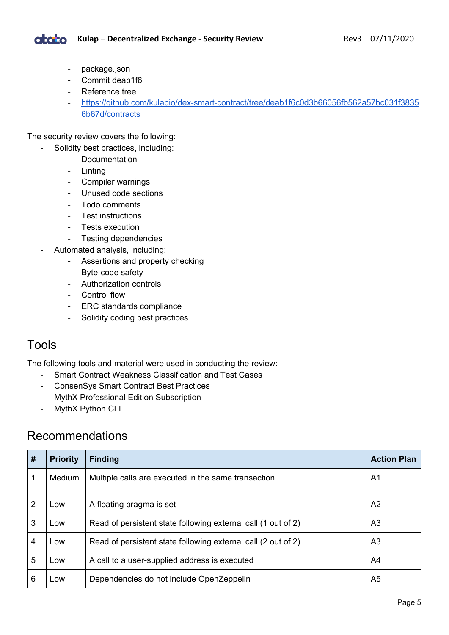Kulap – Decentralized Exchange - Security Review **Rev3** – 07/11/2020 **atoto** 

- package.json
- Commit deab1f6
- Reference tree
- [https://github.com/kulapio/dex-smart-contract/tree/deab1f6c0d3b66056fb562a57bc031f3835](https://github.com/kulapio/dex-smart-contract/tree/deab1f6c0d3b66056fb562a57bc031f38356b67d/contracts) [6b67d/contracts](https://github.com/kulapio/dex-smart-contract/tree/deab1f6c0d3b66056fb562a57bc031f38356b67d/contracts)

The security review covers the following:

- Solidity best practices, including:
	- Documentation
	- Linting
	- Compiler warnings
	- Unused code sections
	- Todo comments
	- Test instructions
	- Tests execution
	- Testing dependencies
- Automated analysis, including:
	- Assertions and property checking
	- Byte-code safety
	- Authorization controls
	- Control flow
	- ERC standards compliance
	- Solidity coding best practices

#### <span id="page-4-0"></span>Tools

The following tools and material were used in conducting the review:

- Smart Contract Weakness Classification and Test Cases
- ConsenSys Smart Contract Best Practices
- MythX Professional Edition Subscription
- MythX Python CLI

### <span id="page-4-1"></span>Recommendations

| #              | <b>Priority</b> | <b>Finding</b>                                                | <b>Action Plan</b> |
|----------------|-----------------|---------------------------------------------------------------|--------------------|
|                | Medium          | Multiple calls are executed in the same transaction           | A <sub>1</sub>     |
| 2              | Low             | A floating pragma is set                                      | A <sub>2</sub>     |
| 3              | Low             | Read of persistent state following external call (1 out of 2) | A <sub>3</sub>     |
| $\overline{4}$ | Low             | Read of persistent state following external call (2 out of 2) | A <sub>3</sub>     |
| 5              | Low             | A call to a user-supplied address is executed                 | A4                 |
| 6              | Low             | Dependencies do not include OpenZeppelin                      | A <sub>5</sub>     |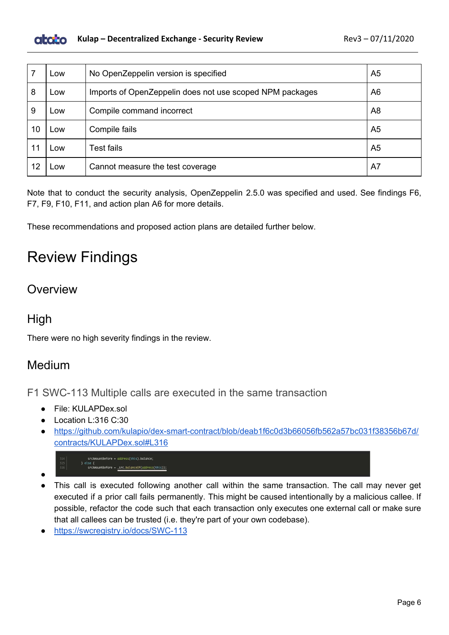

|    | Low | No OpenZeppelin version is specified                     | A <sub>5</sub> |
|----|-----|----------------------------------------------------------|----------------|
| 8  | Low | Imports of OpenZeppelin does not use scoped NPM packages | A6             |
| 9  | Low | Compile command incorrect                                | A <sub>8</sub> |
| 10 | .ow | Compile fails                                            | A <sub>5</sub> |
|    | .OW | <b>Test fails</b>                                        | A <sub>5</sub> |
| 12 | .OW | Cannot measure the test coverage                         | A7             |

Note that to conduct the security analysis, OpenZeppelin 2.5.0 was specified and used. See findings F6, F7, F9, F10, F11, and action plan A6 for more details.

<span id="page-5-0"></span>These recommendations and proposed action plans are detailed further below.

## Review Findings

## <span id="page-5-1"></span>**Overview**

## <span id="page-5-2"></span>High

<span id="page-5-3"></span>There were no high severity findings in the review.

## Medium

<span id="page-5-4"></span>F1 SWC-113 Multiple calls are executed in the same transaction

- File: KULAPDex.sol
- Location L:316 C:30
- [https://github.com/kulapio/dex-smart-contract/blob/deab1f6c0d3b66056fb562a57bc031f38356b67d/](https://github.com/kulapio/dex-smart-contract/blob/deab1f6c0d3b66056fb562a57bc031f38356b67d/contracts/KULAPDex.sol#L316) [contracts/KULAPDex.sol#L316](https://github.com/kulapio/dex-smart-contract/blob/deab1f6c0d3b66056fb562a57bc031f38356b67d/contracts/KULAPDex.sol#L316)
	- srcAmountBefore = address(this).balance; srcAmountBefore = \_src.balanceOf(address(this));
- ●
- This call is executed following another call within the same transaction. The call may never get executed if a prior call fails permanently. This might be caused intentionally by a malicious callee. If possible, refactor the code such that each transaction only executes one external call or make sure that all callees can be trusted (i.e. they're part of your own codebase).
- <https://swcregistry.io/docs/SWC-113>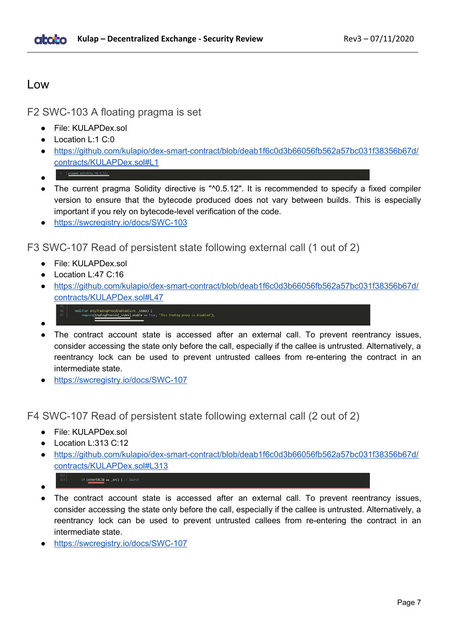#### <span id="page-6-0"></span>Low

<span id="page-6-1"></span>F2 SWC-103 A floating pragma is set

- File: KULAPDex.sol
- Location L:1 C:0
- [https://github.com/kulapio/dex-smart-contract/blob/deab1f6c0d3b66056fb562a57bc031f38356b67d/](https://github.com/kulapio/dex-smart-contract/blob/deab1f6c0d3b66056fb562a57bc031f38356b67d/contracts/KULAPDex.sol#L1) [contracts/KULAPDex.sol#L1](https://github.com/kulapio/dex-smart-contract/blob/deab1f6c0d3b66056fb562a57bc031f38356b67d/contracts/KULAPDex.sol#L1)
- pragma solidity ^0.5.12; ●
- The current pragma Solidity directive is "^0.5.12". It is recommended to specify a fixed compiler version to ensure that the bytecode produced does not vary between builds. This is especially important if you rely on bytecode-level verification of the code.
- https://swcregistry.jo/docs/SWC-103

<span id="page-6-2"></span>F3 SWC-107 Read of persistent state following external call (1 out of 2)

- File: KULAPDex.sol
- Location L:47 C:16
- [https://github.com/kulapio/dex-smart-contract/blob/deab1f6c0d3b66056fb562a57bc031f38356b67d/](https://github.com/kulapio/dex-smart-contract/blob/deab1f6c0d3b66056fb562a57bc031f38356b67d/contracts/KULAPDex.sol#L47) [contracts/KULAPDex.sol#L47](https://github.com/kulapio/dex-smart-contract/blob/deab1f6c0d3b66056fb562a57bc031f38356b67d/contracts/KULAPDex.sol#L47)
	- modifier onlyTradingProxyEnabled(uint \_i**ndex) {**<br>require(<u>tradingProxies[\_index]</u>.enable == true, "This trading proxy is disabled");
- The contract account state is accessed after an external call. To prevent reentrancy issues, consider accessing the state only before the call, especially if the callee is untrusted. Alternatively, a reentrancy lock can be used to prevent untrusted callees from re-entering the contract in an intermediate state.
- <https://swcregistry.io/docs/SWC-107>

<span id="page-6-3"></span>F4 SWC-107 Read of persistent state following external call (2 out of 2)

- File: KULAPDex.sol
- Location L:313 C:12
- [https://github.com/kulapio/dex-smart-contract/blob/deab1f6c0d3b66056fb562a57bc031f38356b67d/](https://github.com/kulapio/dex-smart-contract/blob/deab1f6c0d3b66056fb562a57bc031f38356b67d/contracts/KULAPDex.sol#L313) [contracts/KULAPDex.sol#L313](https://github.com/kulapio/dex-smart-contract/blob/deab1f6c0d3b66056fb562a57bc031f38356b67d/contracts/KULAPDex.sol#L313)
	- if (etherERC20 == \_src) { // Source
- ●

●

- The contract account state is accessed after an external call. To prevent reentrancy issues, consider accessing the state only before the call, especially if the callee is untrusted. Alternatively, a reentrancy lock can be used to prevent untrusted callees from re-entering the contract in an intermediate state.
- <https://swcregistry.io/docs/SWC-107>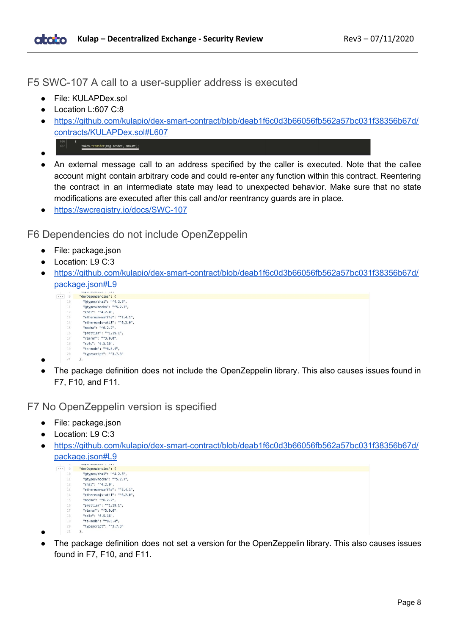<span id="page-7-0"></span>F5 SWC-107 A call to a user-supplier address is executed

- File: KULAPDex.sol
- Location L:607 C:8
- [https://github.com/kulapio/dex-smart-contract/blob/deab1f6c0d3b66056fb562a57bc031f38356b67d/](https://github.com/kulapio/dex-smart-contract/blob/deab1f6c0d3b66056fb562a57bc031f38356b67d/contracts/KULAPDex.sol#L607) [contracts/KULAPDex.sol#L607](https://github.com/kulapio/dex-smart-contract/blob/deab1f6c0d3b66056fb562a57bc031f38356b67d/contracts/KULAPDex.sol#L607)
	- $607$ token.transfer(msg.sender, amount);
- ●
- An external message call to an address specified by the caller is executed. Note that the callee account might contain arbitrary code and could re-enter any function within this contract. Reentering the contract in an intermediate state may lead to unexpected behavior. Make sure that no state modifications are executed after this call and/or reentrancy guards are in place.
- <https://swcregistry.io/docs/SWC-107>

<span id="page-7-1"></span>F6 Dependencies do not include OpenZeppelin

- File: package.json
- Location: L9 C:3
- [https://github.com/kulapio/dex-smart-contract/blob/deab1f6c0d3b66056fb562a57bc031f38356b67d/](https://github.com/kulapio/dex-smart-contract/blob/deab1f6c0d3b66056fb562a57bc031f38356b67d/package.json#L9) [package.json#L9](https://github.com/kulapio/dex-smart-contract/blob/deab1f6c0d3b66056fb562a57bc031f38356b67d/package.json#L9)
	- (...) 9 "devDependencies": {<br>
	10 "@types/chai": "^4.2.6",<br>
	11 "@types/mocha": "^5.2.7",<br>
	12 "chai": "^4.2.0", "ethereum-waffle": "^2.4.1",  $13 - 12$ "ethereumjs-util": "^6.2.0", 14 15 "mocha": "^6.2.2" "prettier": "^1.19.1",<br>"prettier": "^1.19.1",<br>"rimraf": "^3.0.0",  $16$  $17$ "solc": "0.5.16", 18 19 "ts-node": "^8.5.4", "typescript": "^3.7.3"  $20$  $\lambda$ .
- $21$ ●
- The package definition does not include the OpenZeppelin library. This also causes issues found in F7, F10, and F11.

<span id="page-7-2"></span>F7 No OpenZeppelin version is specified

- File: package.json
- Location: L9 C:3
- [https://github.com/kulapio/dex-smart-contract/blob/deab1f6c0d3b66056fb562a57bc031f38356b67d/](https://github.com/kulapio/dex-smart-contract/blob/deab1f6c0d3b66056fb562a57bc031f38356b67d/package.json#L9) [package.json#L9](https://github.com/kulapio/dex-smart-contract/blob/deab1f6c0d3b66056fb562a57bc031f38356b67d/package.json#L9)

```
\overline{...} 9 "devDependencies": {
                  evvependencies : {<br>"@types/chai": "^4.2.6"
       10
                  "@types/mocha": "^5.2.7",
       11"chai": "^4.2.0",<br>"ethereum-waffle": "^2.4.1",
       12
       13"ethereumjs-util": "^6.2.0",<br>"mocha": "^6.2.2",
       14
       15
                 "prettier": "^1.19.1".
      16
                 "rimraf": "^3.0.0",
                  "solc": "0.5.16",
      18
       19"ts-node": "^8.5.4",
                  "typescript": "^3.7.3"
```
- 20  $\sqrt{21}$  $\overline{\ }$ ●
- The package definition does not set a version for the OpenZeppelin library. This also causes issues found in F7, F10, and F11.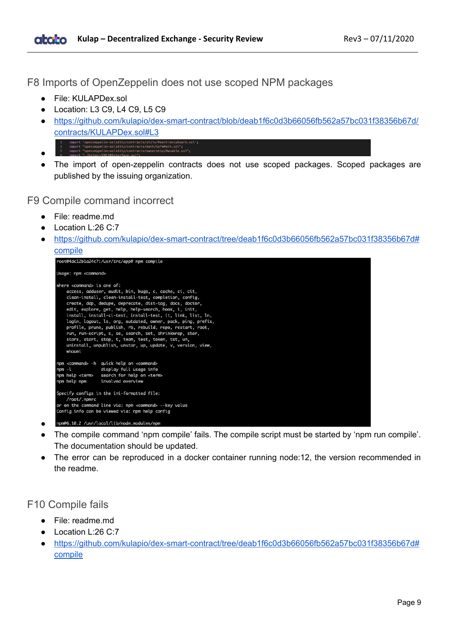<span id="page-8-0"></span>F8 Imports of OpenZeppelin does not use scoped NPM packages

- File: KULAPDex.sol
- Location: L3 C9, L4 C9, L5 C9
- [https://github.com/kulapio/dex-smart-contract/blob/deab1f6c0d3b66056fb562a57bc031f38356b67d/](https://github.com/kulapio/dex-smart-contract/blob/deab1f6c0d3b66056fb562a57bc031f38356b67d/contracts/KULAPDex.sol#L3) [contracts/KULAPDex.sol#L3](https://github.com/kulapio/dex-smart-contract/blob/deab1f6c0d3b66056fb562a57bc031f38356b67d/contracts/KULAPDex.sol#L3)
- import 'openzeppelin-solidity/contracts/utils/ReentrancyGuard.s<br>import "openzeppelin-solidity/contracts/math/SafeMath.sol";<br>import "openzeppelin-solidity/contracts/ownership/Ownable.sol"; ●
- The import of open-zeppelin contracts does not use scoped packages. Scoped packages are published by the issuing organization.

<span id="page-8-1"></span>F9 Compile command incorrect

- File: readme.md
- Location L:26 C:7
- [https://github.com/kulapio/dex-smart-contract/tree/deab1f6c0d3b66056fb562a57bc031f38356b67d#](https://github.com/kulapio/dex-smart-contract/tree/deab1f6c0d3b66056fb562a57bc031f38356b67d#compile) [compile](https://github.com/kulapio/dex-smart-contract/tree/deab1f6c0d3b66056fb562a57bc031f38356b67d#compile)



- The compile command 'npm compile' fails. The compile script must be started by 'npm run compile'. The documentation should be updated.
- The error can be reproduced in a docker container running node:12, the version recommended in the readme.

#### <span id="page-8-2"></span>F10 Compile fails

●

- File: readme.md
- Location L:26 C:7
- [https://github.com/kulapio/dex-smart-contract/tree/deab1f6c0d3b66056fb562a57bc031f38356b67d#](https://github.com/kulapio/dex-smart-contract/tree/deab1f6c0d3b66056fb562a57bc031f38356b67d#compile) [compile](https://github.com/kulapio/dex-smart-contract/tree/deab1f6c0d3b66056fb562a57bc031f38356b67d#compile)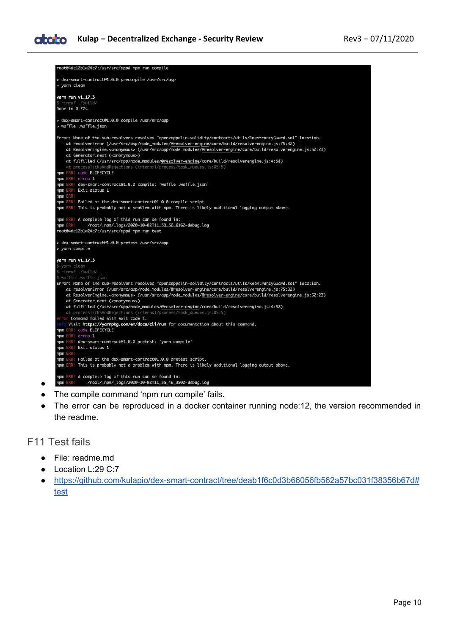

- The compile command 'npm run compile' fails.
- The error can be reproduced in a docker container running node:12, the version recommended in the readme.

#### <span id="page-9-0"></span>F11 Test fails

- File: readme.md
- Location L:29 C:7
- [https://github.com/kulapio/dex-smart-contract/tree/deab1f6c0d3b66056fb562a57bc031f38356b67d#](https://github.com/kulapio/dex-smart-contract/tree/deab1f6c0d3b66056fb562a57bc031f38356b67d#test) [test](https://github.com/kulapio/dex-smart-contract/tree/deab1f6c0d3b66056fb562a57bc031f38356b67d#test)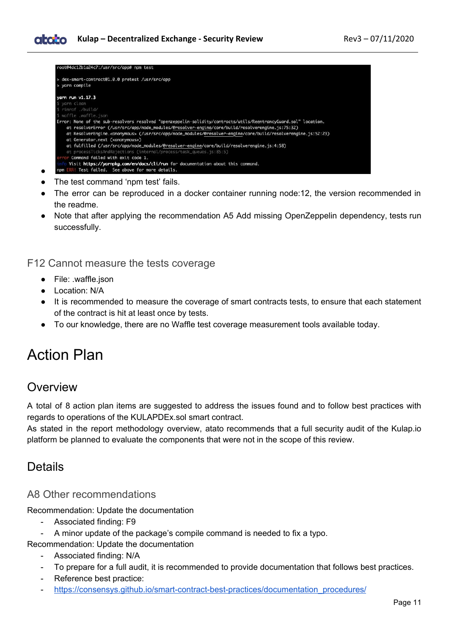| dex-smart-contract@1.0.0 pretest /usr/src/app        |                                                                                                                                                                                                                     |
|------------------------------------------------------|---------------------------------------------------------------------------------------------------------------------------------------------------------------------------------------------------------------------|
| > yarn compile                                       |                                                                                                                                                                                                                     |
| yarn run v1.17.3                                     |                                                                                                                                                                                                                     |
| \$ yarn clean                                        |                                                                                                                                                                                                                     |
| \$ rimraf ./build/                                   |                                                                                                                                                                                                                     |
| \$ waffle .waffle.ison                               |                                                                                                                                                                                                                     |
|                                                      | Error: None of the sub-resolvers resolved "openzeppelin-solidity/contracts/utils/ReentrancyGuard.sol" location.<br>at resolverError (/usr/src/app/node_modules/@resolver-engine/core/build/resolverengine.js:75:32) |
| at Generator.next ( <anonymous>)</anonymous>         | at ResolverEngine. <anonymous> (/usr/src/app/node_modules/@resolver-engine/core/build/resolverengine.js:52:23)</anonymous>                                                                                          |
|                                                      | at fulfilled (/usr/src/app/node_modules/@resolver-engine/core/build/resolverengine.js:4:58)                                                                                                                         |
|                                                      | at processTicksAndRejections (internal/process/task_queues.js:85:5)                                                                                                                                                 |
| error Command failed with exit code 1.               |                                                                                                                                                                                                                     |
|                                                      | Visit https://yarnpkg.com/en/docs/cli/run for documentation about this command.                                                                                                                                     |
| ERR! Test failed. See above for more details.<br>npm |                                                                                                                                                                                                                     |

- The test command 'npm test' fails.
- The error can be reproduced in a docker container running node:12, the version recommended in the readme.
- Note that after applying the recommendation A5 Add missing OpenZeppelin dependency, tests run successfully.

<span id="page-10-0"></span>F12 Cannot measure the tests coverage

- File: .waffle.json
- Location: N/A
- It is recommended to measure the coverage of smart contracts tests, to ensure that each statement of the contract is hit at least once by tests.
- To our knowledge, there are no Waffle test coverage measurement tools available today.

## <span id="page-10-1"></span>Action Plan

### <span id="page-10-2"></span>**Overview**

●

A total of 8 action plan items are suggested to address the issues found and to follow best practices with regards to operations of the KULAPDEx.sol smart contract.

As stated in the report methodology overview, atato recommends that a full security audit of the Kulap.io platform be planned to evaluate the components that were not in the scope of this review.

### <span id="page-10-3"></span>Details

#### <span id="page-10-4"></span>A8 Other recommendations

Recommendation: Update the documentation

- Associated finding: F9
- A minor update of the package's compile command is needed to fix a typo.

Recommendation: Update the documentation

- Associated finding: N/A
- To prepare for a full audit, it is recommended to provide documentation that follows best practices.
- Reference best practice:
- [https://consensys.github.io/smart-contract-best-practices/documentation\\_procedures/](https://consensys.github.io/smart-contract-best-practices/documentation_procedures/)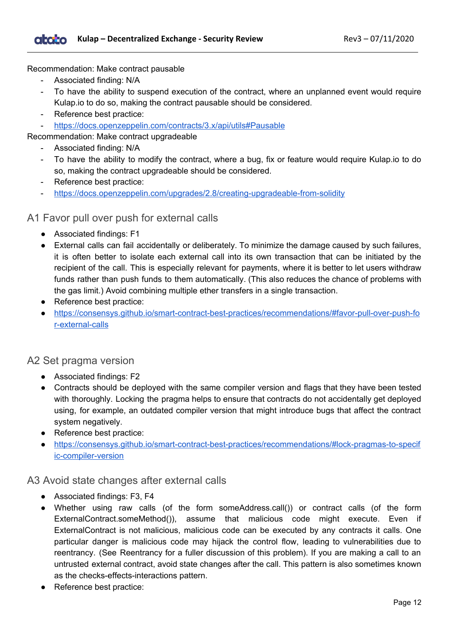Recommendation: Make contract pausable

- Associated finding: N/A
- To have the ability to suspend execution of the contract, where an unplanned event would require Kulap.io to do so, making the contract pausable should be considered.
- Reference best practice:
- <https://docs.openzeppelin.com/contracts/3.x/api/utils#Pausable>

Recommendation: Make contract upgradeable

- Associated finding: N/A
- To have the ability to modify the contract, where a bug, fix or feature would require Kulap.io to do so, making the contract upgradeable should be considered.
- Reference best practice:
- <https://docs.openzeppelin.com/upgrades/2.8/creating-upgradeable-from-solidity>

#### <span id="page-11-0"></span>A1 Favor pull over push for external calls

- Associated findings: F1
- External calls can fail accidentally or deliberately. To minimize the damage caused by such failures, it is often better to isolate each external call into its own transaction that can be initiated by the recipient of the call. This is especially relevant for payments, where it is better to let users withdraw funds rather than push funds to them automatically. (This also reduces the chance of problems with the gas limit.) Avoid combining multiple ether transfers in a single transaction.
- Reference best practice:
- [https://consensys.github.io/smart-contract-best-practices/recommendations/#favor-pull-over-push-fo](https://consensys.github.io/smart-contract-best-practices/recommendations/#favor-pull-over-push-for-external-calls) [r-external-calls](https://consensys.github.io/smart-contract-best-practices/recommendations/#favor-pull-over-push-for-external-calls)

#### <span id="page-11-1"></span>A2 Set pragma version

- Associated findings: F2
- Contracts should be deployed with the same compiler version and flags that they have been tested with thoroughly. Locking the pragma helps to ensure that contracts do not accidentally get deployed using, for example, an outdated compiler version that might introduce bugs that affect the contract system negatively.
- Reference best practice:
- [https://consensys.github.io/smart-contract-best-practices/recommendations/#lock-pragmas-to-specif](https://consensys.github.io/smart-contract-best-practices/recommendations/#lock-pragmas-to-specific-compiler-version) [ic-compiler-version](https://consensys.github.io/smart-contract-best-practices/recommendations/#lock-pragmas-to-specific-compiler-version)

#### <span id="page-11-2"></span>A3 Avoid state changes after external calls

- Associated findings: F3, F4
- Whether using raw calls (of the form someAddress.call()) or contract calls (of the form ExternalContract.someMethod()), assume that malicious code might execute. Even if ExternalContract is not malicious, malicious code can be executed by any contracts it calls. One particular danger is malicious code may hijack the control flow, leading to vulnerabilities due to reentrancy. (See Reentrancy for a fuller discussion of this problem). If you are making a call to an untrusted external contract, avoid state changes after the call. This pattern is also sometimes known as the checks-effects-interactions pattern.
- Reference best practice: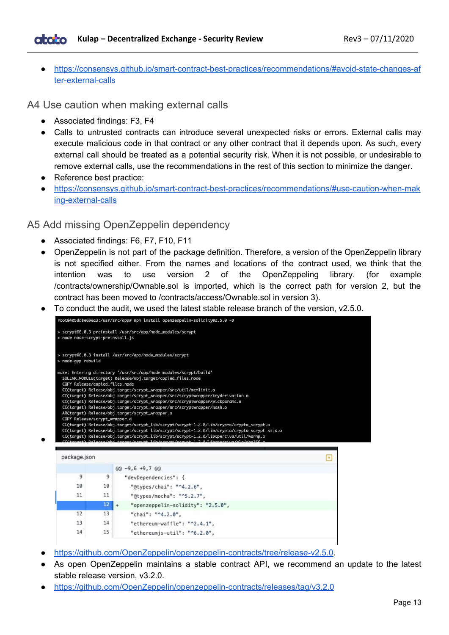● [https://consensys.github.io/smart-contract-best-practices/recommendations/#avoid-state-changes-af](https://consensys.github.io/smart-contract-best-practices/recommendations/#avoid-state-changes-after-external-calls) [ter-external-calls](https://consensys.github.io/smart-contract-best-practices/recommendations/#avoid-state-changes-after-external-calls)

<span id="page-12-0"></span>A4 Use caution when making external calls

- Associated findings: F3, F4
- Calls to untrusted contracts can introduce several unexpected risks or errors. External calls may execute malicious code in that contract or any other contract that it depends upon. As such, every external call should be treated as a potential security risk. When it is not possible, or undesirable to remove external calls, use the recommendations in the rest of this section to minimize the danger.
- Reference best practice:

●

● [https://consensys.github.io/smart-contract-best-practices/recommendations/#use-caution-when-mak](https://consensys.github.io/smart-contract-best-practices/recommendations/#use-caution-when-making-external-calls) [ing-external-calls](https://consensys.github.io/smart-contract-best-practices/recommendations/#use-caution-when-making-external-calls)

#### <span id="page-12-1"></span>A5 Add missing OpenZeppelin dependency

- Associated findings: F6, F7, F10, F11
- OpenZeppelin is not part of the package definition. Therefore, a version of the OpenZeppelin library is not specified either. From the names and locations of the contract used, we think that the intention was to use version 2 of the OpenZeppeling library. (for example /contracts/ownership/Ownable.sol is imported, which is the correct path for version 2, but the contract has been moved to /contracts/access/Ownable.sol in version 3).
- To conduct the audit, we used the latest stable release branch of the version. v2.5.0.



- [https://github.com/OpenZeppelin/openzeppelin-contracts/tree/release-v2.5.0.](https://github.com/OpenZeppelin/openzeppelin-contracts/tree/release-v2.5.0)
- As open OpenZeppelin maintains a stable contract API, we recommend an update to the latest stable release version, v3.2.0.
- <https://github.com/OpenZeppelin/openzeppelin-contracts/releases/tag/v3.2.0>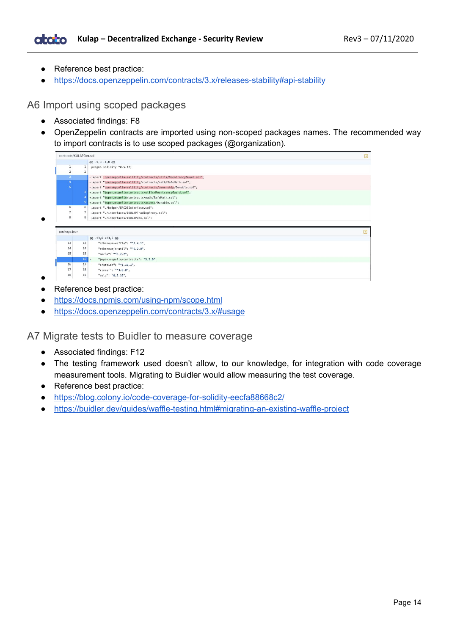- Reference best practice:
- <https://docs.openzeppelin.com/contracts/3.x/releases-stability#api-stability>

<span id="page-13-0"></span>A6 Import using scoped packages

- Associated findings: F8
- OpenZeppelin contracts are imported using non-scoped packages names. The recommended way to import contracts is to use scoped packages (@organization).

|                         |                | $00 - 1, 8 + 1, 8$ 00                                                |  |
|-------------------------|----------------|----------------------------------------------------------------------|--|
| 1                       | $\mathbf{1}$   | pragma solidity ^0.5.12;                                             |  |
| $\overline{2}$          | 2              |                                                                      |  |
| $\overline{\mathbf{3}}$ |                | -import 'openzeppelin-solidity/contracts/utils/ReentrancyGuard.sol'; |  |
| $\overline{4}$          |                | -import "openzeppelin-solidity/contracts/math/SafeMath.sol";         |  |
| $\mathbf{S}$            |                | -import "openzeppelin-solidity/contracts/ownership/0wnable.sol";     |  |
|                         |                | +import "@openzeppelin/contracts/utils/ReentrancyGuard.sol";         |  |
|                         |                | +import "@openzeppelin/contracts/math/SafeMath.sol";                 |  |
|                         |                | +import "@openzeppelin/contracts/access/Ownable.sol";                |  |
| 6                       | 6              | import "./helper/ERC20Interface.sol";                                |  |
| $\overline{7}$          | $\overline{7}$ | import "./interfaces/IKULAPTradingProxy.sol";                        |  |
|                         |                |                                                                      |  |
| 8                       | 8              | import "./interfaces/IKULAPDex.sol";                                 |  |
| package.json            |                |                                                                      |  |
|                         |                | $@@-13,6+13,7@@$                                                     |  |
| 13                      | 13             | "ethereum-waffle": "^2.4.1",                                         |  |
| 14                      | 14             | "ethereumjs-util": "^6.2.0",                                         |  |
| 15                      | 15             | "mocha": "^6.2.2",                                                   |  |
|                         |                | $16 +$<br>"@openzeppelin/contracts": "3.2.0",                        |  |
| 16                      | 17             | "prettier": "^1.19.1",                                               |  |
| 17                      | 18             | "rimraf": "^3.0.0",                                                  |  |

● Reference best practice:

●

●

- <https://docs.npmjs.com/using-npm/scope.html>
- <https://docs.openzeppelin.com/contracts/3.x/#usage>

<span id="page-13-1"></span>A7 Migrate tests to Buidler to measure coverage

- Associated findings: F12
- The testing framework used doesn't allow, to our knowledge, for integration with code coverage measurement tools. Migrating to Buidler would allow measuring the test coverage.
- Reference best practice:
- <https://blog.colony.io/code-coverage-for-solidity-eecfa88668c2/>
- <https://buidler.dev/guides/waffle-testing.html#migrating-an-existing-waffle-project>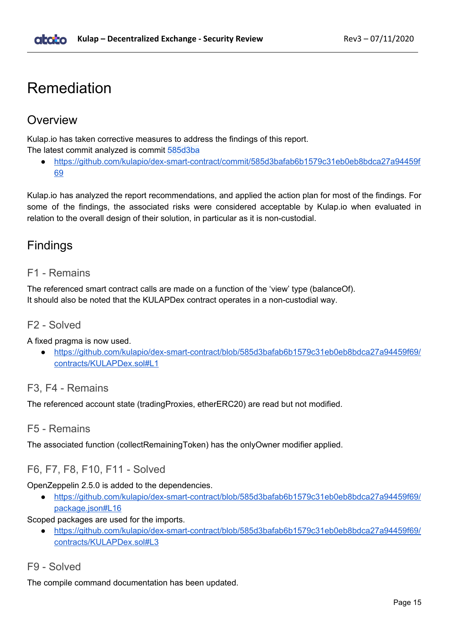## <span id="page-14-0"></span>Remediation

### <span id="page-14-1"></span>Overview

Kulap.io has taken corrective measures to address the findings of this report. The latest commit analyzed is commit [585d3ba](https://github.com/kulapio/dex-smart-contract/commit/585d3bafab6b1579c31eb0eb8bdca27a94459f69)

[https://github.com/kulapio/dex-smart-contract/commit/585d3bafab6b1579c31eb0eb8bdca27a94459f](https://github.com/kulapio/dex-smart-contract/commit/585d3bafab6b1579c31eb0eb8bdca27a94459f69) [69](https://github.com/kulapio/dex-smart-contract/commit/585d3bafab6b1579c31eb0eb8bdca27a94459f69)

Kulap.io has analyzed the report recommendations, and applied the action plan for most of the findings. For some of the findings, the associated risks were considered acceptable by Kulap.io when evaluated in relation to the overall design of their solution, in particular as it is non-custodial.

## <span id="page-14-2"></span>Findings

#### <span id="page-14-3"></span>F1 - Remains

The referenced smart contract calls are made on a function of the 'view' type (balanceOf). It should also be noted that the KULAPDex contract operates in a non-custodial way.

#### <span id="page-14-4"></span>F2 - Solved

A fixed pragma is now used.

● [https://github.com/kulapio/dex-smart-contract/blob/585d3bafab6b1579c31eb0eb8bdca27a94459f69/](https://github.com/kulapio/dex-smart-contract/blob/585d3bafab6b1579c31eb0eb8bdca27a94459f69/contracts/KULAPDex.sol#L1) [contracts/KULAPDex.sol#L1](https://github.com/kulapio/dex-smart-contract/blob/585d3bafab6b1579c31eb0eb8bdca27a94459f69/contracts/KULAPDex.sol#L1)

#### <span id="page-14-5"></span>F3, F4 - Remains

<span id="page-14-6"></span>The referenced account state (tradingProxies, etherERC20) are read but not modified.

#### F5 - Remains

<span id="page-14-7"></span>The associated function (collectRemainingToken) has the onlyOwner modifier applied.

#### F6, F7, F8, F10, F11 - Solved

#### OpenZeppelin 2.5.0 is added to the dependencies.

● [https://github.com/kulapio/dex-smart-contract/blob/585d3bafab6b1579c31eb0eb8bdca27a94459f69/](https://github.com/kulapio/dex-smart-contract/blob/585d3bafab6b1579c31eb0eb8bdca27a94459f69/package.json#L16) [package.json#L16](https://github.com/kulapio/dex-smart-contract/blob/585d3bafab6b1579c31eb0eb8bdca27a94459f69/package.json#L16)

Scoped packages are used for the imports.

● [https://github.com/kulapio/dex-smart-contract/blob/585d3bafab6b1579c31eb0eb8bdca27a94459f69/](https://github.com/kulapio/dex-smart-contract/blob/585d3bafab6b1579c31eb0eb8bdca27a94459f69/contracts/KULAPDex.sol#L3) [contracts/KULAPDex.sol#L3](https://github.com/kulapio/dex-smart-contract/blob/585d3bafab6b1579c31eb0eb8bdca27a94459f69/contracts/KULAPDex.sol#L3)

#### <span id="page-14-8"></span>F9 - Solved

The compile command documentation has been updated.